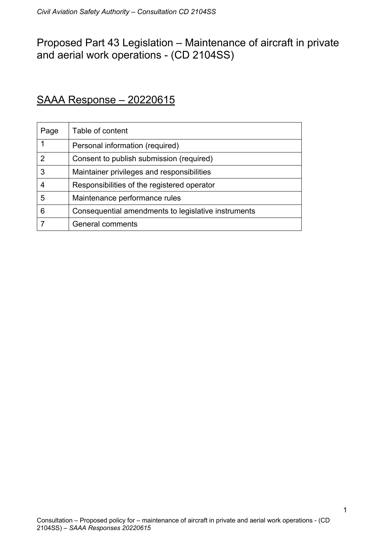# Proposed Part 43 Legislation – Maintenance of aircraft in private and aerial work operations - (CD 2104SS)

## SAAA Response – 20220615

| Page | Table of content                                    |
|------|-----------------------------------------------------|
|      | Personal information (required)                     |
| 2    | Consent to publish submission (required)            |
| 3    | Maintainer privileges and responsibilities          |
| 4    | Responsibilities of the registered operator         |
| 5    | Maintenance performance rules                       |
| 6    | Consequential amendments to legislative instruments |
|      | General comments                                    |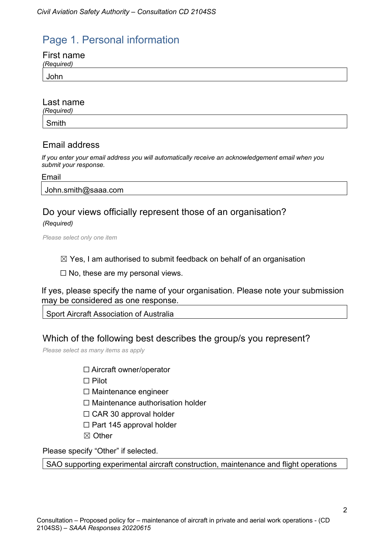# Page 1. Personal information

| First name |  |
|------------|--|
| (Required) |  |
| John       |  |

## Last name

*(Required)* Smith

## Email address

*If you enter your email address you will automatically receive an acknowledgement email when you submit your response.*

Email

John.smith@saaa.com

## Do your views officially represent those of an organisation?

*(Required)*

*Please select only one item*

 $\boxtimes$  Yes, I am authorised to submit feedback on behalf of an organisation

 $\Box$  No, these are my personal views.

If yes, please specify the name of your organisation. Please note your submission may be considered as one response.

Sport Aircraft Association of Australia

## Which of the following best describes the group/s you represent?

*Please select as many items as apply*

□ Aircraft owner/operator

☐ Pilot

☐ Maintenance engineer

- □ Maintenance authorisation holder
- □ CAR 30 approval holder
- $\Box$  Part 145 approval holder
- ☒ Other

Please specify "Other" if selected.

SAO supporting experimental aircraft construction, maintenance and flight operations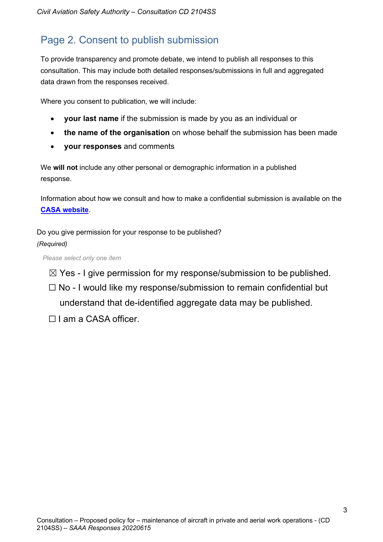# Page 2. Consent to publish submission

To provide transparency and promote debate, we intend to publish all responses to this consultation. This may include both detailed responses/submissions in full and aggregated data drawn from the responses received.

Where you consent to publication, we will include:

- **your last name** if the submission is made by you as an individual or
- **the name of the organisation** on whose behalf the submission has been made
- **your responses** and comments

We **will not** include any other personal or demographic information in a published response.

Information about how we consult and how to make a confidential submission is available on the **CASA website**.

Do you give permission for your response to be published? *(Required)*

*Please select only one item*

- $\boxtimes$  Yes I give permission for my response/submission to be published.
- $\Box$  No I would like my response/submission to remain confidential but understand that de-identified aggregate data may be published.
- □ I am a CASA officer.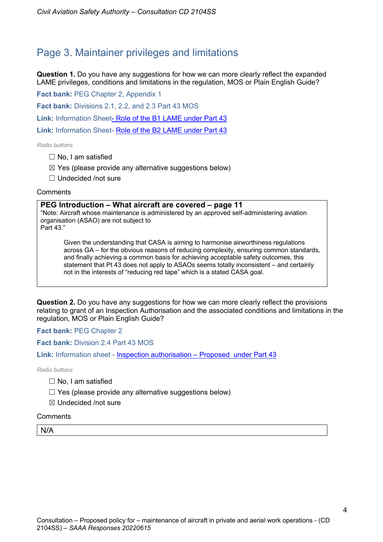## Page 3. Maintainer privileges and limitations

**Question 1.** Do you have any suggestions for how we can more clearly reflect the expanded LAME privileges, conditions and limitations in the regulation, MOS or Plain English Guide?

**Fact bank:** PEG Chapter 2, Appendix 1

**Fact bank:** Divisions 2.1, 2.2, and 2.3 Part 43 MOS

**Link:** Information Sheet- Role of the B1 LAME under Part 43

**Link:** Information Sheet- Role of the B2 LAME under Part 43

*Radio buttons*

- $\Box$  No, I am satisfied
- $\boxtimes$  Yes (please provide any alternative suggestions below)

☐ Undecided /not sure

#### **Comments**

#### **PEG Introduction – What aircraft are covered – page 11**

"Note: Aircraft whose maintenance is administered by an approved self-administering aviation organisation (ASAO) are not subject to

Part 43."

Given the understanding that CASA is aiming to harmonise airworthiness regulations across GA – for the obvious reasons of reducing complexity, ensuring common standards, and finally achieving a common basis for achieving acceptable safety outcomes, this statement that Pt 43 does not apply to ASAOs seems totally inconsistent – and certainly not in the interests of "reducing red tape" which is a stated CASA goal.

**Question 2.** Do you have any suggestions for how we can more clearly reflect the provisions relating to grant of an Inspection Authorisation and the associated conditions and limitations in the regulation, MOS or Plain English Guide?

**Fact bank:** PEG Chapter 2

**Fact bank:** Division 2.4 Part 43 MOS

**Link:** Information sheet - Inspection authorisation – Proposed under Part 43

*Radio buttons*

- $\Box$  No, I am satisfied
- $\Box$  Yes (please provide any alternative suggestions below)
- ☒ Undecided /not sure

#### **Comments**

N/A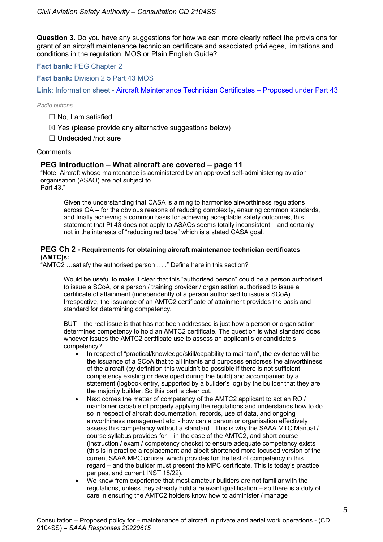**Question 3.** Do you have any suggestions for how we can more clearly reflect the provisions for grant of an aircraft maintenance technician certificate and associated privileges, limitations and conditions in the regulation, MOS or Plain English Guide?

### **Fact bank:** PEG Chapter 2

**Fact bank:** Division 2.5 Part 43 MOS

**Link**: Information sheet - Aircraft Maintenance Technician Certificates – Proposed under Part 43

*Radio buttons*

- ☐ No, I am satisfied
- $\boxtimes$  Yes (please provide any alternative suggestions below)

☐ Undecided /not sure

### **Comments**

### **PEG Introduction – What aircraft are covered – page 11**

"Note: Aircraft whose maintenance is administered by an approved self-administering aviation organisation (ASAO) are not subject to

Part 43."

Given the understanding that CASA is aiming to harmonise airworthiness regulations across GA – for the obvious reasons of reducing complexity, ensuring common standards, and finally achieving a common basis for achieving acceptable safety outcomes, this statement that Pt 43 does not apply to ASAOs seems totally inconsistent – and certainly not in the interests of "reducing red tape" which is a stated CASA goal.

### **PEG Ch 2 - Requirements for obtaining aircraft maintenance technician certificates (AMTC)s:**

 $\hat{H}^*$ AMTC2 …satisfy the authorised person ….." Define here in this section?

Would be useful to make it clear that this "authorised person" could be a person authorised to issue a SCoA, or a person / training provider / organisation authorised to issue a certificate of attainment (independently of a person authorised to issue a SCoA). Irrespective, the issuance of an AMTC2 certificate of attainment provides the basis and standard for determining competency*.*

BUT – the real issue is that has not been addressed is just how a person or organisation determines competency to hold an AMTC2 certificate. The question is what standard does whoever issues the AMTC2 certificate use to assess an applicant's or candidate's competency?

- In respect of "practical/knowledge/skill/capability to maintain", the evidence will be the issuance of a SCoA that to all intents and purposes endorses the airworthiness of the aircraft (by definition this wouldn't be possible if there is not sufficient competency existing or developed during the build) and accompanied by a statement (logbook entry, supported by a builder's log) by the builder that they are the majority builder. So this part is clear cut.
- Next comes the matter of competency of the AMTC2 applicant to act an RO / maintainer capable of properly applying the regulations and understands how to do so in respect of aircraft documentation, records, use of data, and ongoing airworthiness management etc - how can a person or organisation effectively assess this competency without a standard. This is why the SAAA MTC Manual / course syllabus provides for – in the case of the AMTC2, and short course (instruction / exam / competency checks) to ensure adequate competency exists (this is in practice a replacement and albeit shortened more focused version of the current SAAA MPC course, which provides for the test of competency in this regard – and the builder must present the MPC certificate. This is today's practice per past and current INST 18/22).
- We know from experience that most amateur builders are not familiar with the regulations, unless they already hold a relevant qualification – so there is a duty of care in ensuring the AMTC2 holders know how to administer / manage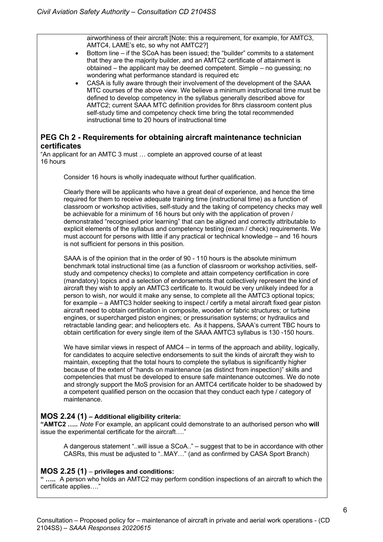airworthiness of their aircraft [Note: this a requirement, for example, for AMTC3, AMTC4, LAME's etc, so why not AMTC2?]

- Bottom line if the SCoA has been issued; the "builder" commits to a statement that they are the majority builder, and an AMTC2 certificate of attainment is obtained – the applicant may be deemed competent. Simple – no guessing; no wondering what performance standard is required etc
- CASA is fully aware through their involvement of the development of the SAAA MTC courses of the above view. We believe a minimum instructional time must be defined to develop competency in the syllabus generally described above for AMTC2; current SAAA MTC definition provides for 8hrs classroom content plus self-study time and competency check time bring the total recommended instructional time to 20 hours of instructional time

## **PEG Ch 2 - Requirements for obtaining aircraft maintenance technician certificates**

"An applicant for an AMTC 3 must … complete an approved course of at least 16 hours

Consider 16 hours is wholly inadequate without further qualification.

Clearly there will be applicants who have a great deal of experience, and hence the time required for them to receive adequate training time (instructional time) as a function of classroom or workshop activities, self-study and the taking of competency checks may well be achievable for a minimum of 16 hours but only with the application of proven / demonstrated "recognised prior learning" that can be aligned and correctly attributable to explicit elements of the syllabus and competency testing (exam / check) requirements. We must account for persons with little if any practical or technical knowledge – and 16 hours is not sufficient for persons in this position.

SAAA is of the opinion that in the order of 90 - 110 hours is the absolute minimum benchmark total instructional time (as a function of classroom or workshop activities, selfstudy and competency checks) to complete and attain competency certification in core (mandatory) topics and a selection of endorsements that collectively represent the kind of aircraft they wish to apply an AMTC3 certificate to. It would be very unlikely indeed for a person to wish, nor would it make any sense, to complete all the AMTC3 optional topics; for example – a AMTC3 holder seeking to inspect / certify a metal aircraft fixed gear piston aircraft need to obtain certification in composite, wooden or fabric structures; or turbine engines, or supercharged piston engines; or pressurisation systems; or hydraulics and retractable landing gear; and helicopters etc. As it happens, SAAA's current TBC hours to obtain certification for every single item of the SAAA AMTC3 syllabus is 130 -150 hours.

We have similar views in respect of AMC4 – in terms of the approach and ability, logically, for candidates to acquire selective endorsements to suit the kinds of aircraft they wish to maintain, excepting that the total hours to complete the syllabus is significantly higher because of the extent of "hands on maintenance (as distinct from inspection)" skills and competencies that must be developed to ensure safe maintenance outcomes. We do note and strongly support the MoS provision for an AMTC4 certificate holder to be shadowed by a competent qualified person on the occasion that they conduct each type / category of maintenance.

## **MOS 2.24 (1) – Additional eligibility criteria:**

**"AMTC2 …..** *Note* For example, an applicant could demonstrate to an authorised person who **will** issue the experimental certificate for the aircraft…."

A dangerous statement "..will issue a SCoA.." – suggest that to be in accordance with other CASRs, this must be adjusted to "..MAY…" (and as confirmed by CASA Sport Branch)

## **MOS 2.25 (1)** – **privileges and conditions:**

**" …..** A person who holds an AMTC2 may perform condition inspections of an aircraft to which the certificate applies…."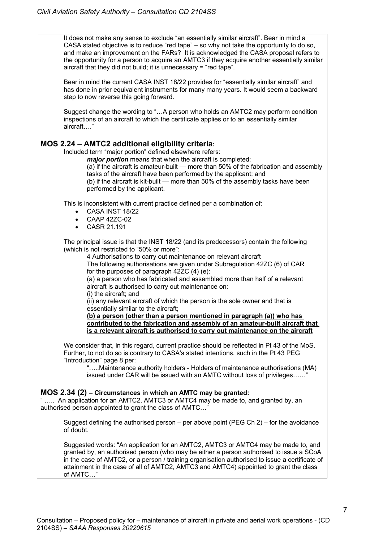It does not make any sense to exclude "an essentially similar aircraft". Bear in mind a CASA stated objective is to reduce "red tape" – so why not take the opportunity to do so, and make an improvement on the FARs? It is acknowledged the CASA proposal refers to the opportunity for a person to acquire an AMTC3 if they acquire another essentially similar aircraft that they did not build; it is unnecessary = "red tape".

Bear in mind the current CASA INST 18/22 provides for "essentially similar aircraft" and has done in prior equivalent instruments for many many years. It would seem a backward step to now reverse this going forward.

Suggest change the wording to "…A person who holds an AMTC2 may perform condition inspections of an aircraft to which the certificate applies or to an essentially similar aircraft…."

## **MOS 2.24 – AMTC2 additional eligibility criteria:**

Included term "major portion" defined elsewhere refers:

*major portion* means that when the aircraft is completed:

(a) if the aircraft is amateur-built — more than 50% of the fabrication and assembly tasks of the aircraft have been performed by the applicant; and

(b) if the aircraft is kit-built — more than 50% of the assembly tasks have been performed by the applicant.

This is inconsistent with current practice defined per a combination of:

- CASA INST 18/22
- CAAP 42ZC-02
- CASR 21.191

The principal issue is that the INST 18/22 (and its predecessors) contain the following (which is not restricted to "50% or more":

4 Authorisations to carry out maintenance on relevant aircraft

The following authorisations are given under Subregulation 42ZC (6) of CAR for the purposes of paragraph 42ZC (4) (e):

(a) a person who has fabricated and assembled more than half of a relevant aircraft is authorised to carry out maintenance on:

(i) the aircraft; and

(ii) any relevant aircraft of which the person is the sole owner and that is essentially similar to the aircraft;

**(b) a person (other than a person mentioned in paragraph (a)) who has contributed to the fabrication and assembly of an amateur-built aircraft that is a relevant aircraft is authorised to carry out maintenance on the aircraft**

We consider that, in this regard, current practice should be reflected in Pt 43 of the MoS. Further, to not do so is contrary to CASA's stated intentions, such in the Pt 43 PEG "Introduction" page 8 per:

"…..Maintenance authority holders - Holders of maintenance authorisations (MA) issued under CAR will be issued with an AMTC without loss of privileges......"

## **MOS 2.34 (2) – Circumstances in which an AMTC may be granted:**

" ….. An application for an AMTC2, AMTC3 or AMTC4 may be made to, and granted by, an authorised person appointed to grant the class of AMTC...'

Suggest defining the authorised person – per above point (PEG Ch 2) – for the avoidance of doubt.

Suggested words: "An application for an AMTC2, AMTC3 or AMTC4 may be made to, and granted by, an authorised person (who may be either a person authorised to issue a SCoA in the case of AMTC2, or a person / training organisation authorised to issue a certificate of attainment in the case of all of AMTC2, AMTC3 and AMTC4) appointed to grant the class of AMTC…"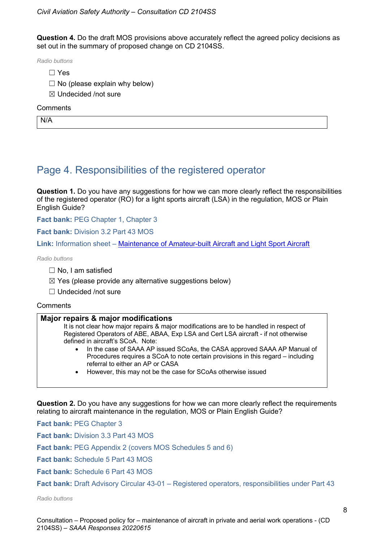**Question 4.** Do the draft MOS provisions above accurately reflect the agreed policy decisions as set out in the summary of proposed change on CD 2104SS.

*Radio buttons*

- ☐ Yes
- $\Box$  No (please explain why below)
- ☒ Undecided /not sure

#### **Comments**

N/A

## Page 4. Responsibilities of the registered operator

**Question 1.** Do you have any suggestions for how we can more clearly reflect the responsibilities of the registered operator (RO) for a light sports aircraft (LSA) in the regulation, MOS or Plain English Guide?

Fact bank: PEG Chapter 1, Chapter 3

**Fact bank: Division 3.2 Part 43 MOS** 

**Link:** Information sheet – Maintenance of Amateur-built Aircraft and Light Sport Aircraft

*Radio buttons*

- $\Box$  No, I am satisfied
- $\boxtimes$  Yes (please provide any alternative suggestions below)
- ☐ Undecided /not sure

#### **Comments**

#### **Major repairs & major modifications**

It is not clear how major repairs & major modifications are to be handled in respect of Registered Operators of ABE, ABAA, Exp LSA and Cert LSA aircraft - if not otherwise defined in aircraft's SCoA. Note:

- In the case of SAAA AP issued SCoAs, the CASA approved SAAA AP Manual of Procedures requires a SCoA to note certain provisions in this regard – including referral to either an AP or CASA
- However, this may not be the case for SCoAs otherwise issued

**Question 2.** Do you have any suggestions for how we can more clearly reflect the requirements relating to aircraft maintenance in the regulation, MOS or Plain English Guide?

**Fact bank:** PEG Chapter 3

**Fact bank:** Division 3.3 Part 43 MOS

**Fact bank:** PEG Appendix 2 (covers MOS Schedules 5 and 6)

**Fact bank:** Schedule 5 Part 43 MOS

**Fact bank:** Schedule 6 Part 43 MOS

**Fact bank:** Draft Advisory Circular 43-01 – Registered operators, responsibilities under Part 43

*Radio buttons*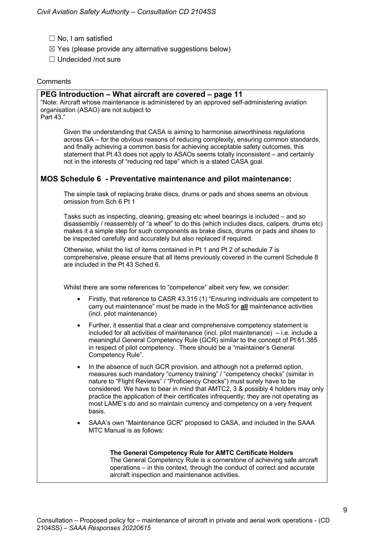- □ No, I am satisfied
- $\boxtimes$  Yes (please provide any alternative suggestions below)
- ☐ Undecided /not sure

#### **Comments**

#### **PEG Introduction – What aircraft are covered – page 11**

"Note: Aircraft whose maintenance is administered by an approved self-administering aviation organisation (ASAO) are not subject to

Part 43."

Given the understanding that CASA is aiming to harmonise airworthiness regulations across GA – for the obvious reasons of reducing complexity, ensuring common standards, and finally achieving a common basis for achieving acceptable safety outcomes, this statement that Pt 43 does not apply to ASAOs seems totally inconsistent – and certainly not in the interests of "reducing red tape" which is a stated CASA goal.

## **MOS Schedule 6 - Preventative maintenance and pilot maintenance:**

The simple task of replacing brake discs, drums or pads and shoes seems an obvious omission from Sch 6 Pt 1

Tasks such as inspecting, cleaning, greasing etc wheel bearings is included – and so disassembly / reassembly of "a wheel" to do this (which includes discs, calipers, drums etc) makes it a simple step for such components as brake discs, drums or pads and shoes to be inspected carefully and accurately but also replaced if required.

Otherwise, whilst the list of items contained in Pt 1 and Pt 2 of schedule 7 is comprehensive, please ensure that all items previously covered in the current Schedule 8 are included in the Pt 43 Sched 6.

Whilst there are some references to "competence" albeit very few, we consider:

- Firstly, that reference to CASR 43.315 (1) "Ensuring individuals are competent to carry out maintenance" must be made in the MoS for **all** maintenance activities (incl. pilot maintenance)
- Further, it essential that a clear and comprehensive competency statement is included for all activities of maintenance (incl. pilot maintenance) – i.e. include a meaningful General Competency Rule (GCR) similar to the concept of Pt 61.385 in respect of pilot competency. There should be a "maintainer's General Competency Rule".
- In the absence of such GCR provision, and although not a preferred option, measures such mandatory "currency training" / "competency checks" (similar in nature to "Flight Reviews" / "Proficiency Checks") must surely have to be considered. We have to bear in mind that AMTC2, 3 & possibly 4 holders may only practice the application of their certificates infrequently; they are not operating as most LAME's do and so maintain currency and competency on a very frequent basis.
- SAAA's own "Maintenance GCR" proposed to CASA, and included in the SAAA MTC Manual is as follows:

#### **The General Competency Rule for AMTC Certificate Holders** The General Competency Rule is a cornerstone of achieving safe aircraft operations – in this context, through the conduct of correct and accurate aircraft inspection and maintenance activities.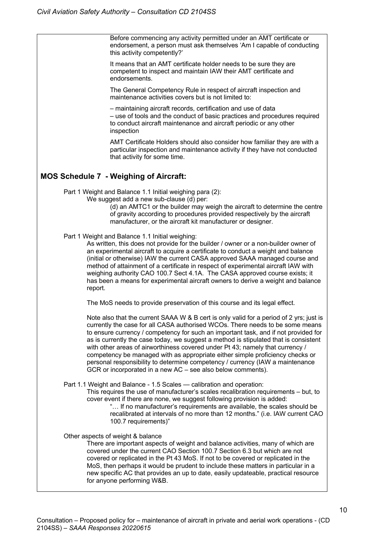Before commencing any activity permitted under an AMT certificate or endorsement, a person must ask themselves 'Am I capable of conducting this activity competently?' It means that an AMT certificate holder needs to be sure they are competent to inspect and maintain IAW their AMT certificate and endorsements. The General Competency Rule in respect of aircraft inspection and maintenance activities covers but is not limited to: – maintaining aircraft records, certification and use of data – use of tools and the conduct of basic practices and procedures required to conduct aircraft maintenance and aircraft periodic or any other inspection AMT Certificate Holders should also consider how familiar they are with a particular inspection and maintenance activity if they have not conducted that activity for some time. **MOS Schedule 7 - Weighing of Aircraft:** Part 1 Weight and Balance 1.1 Initial weighing para (2): We suggest add a new sub-clause (d) per: (d) an AMTC1 or the builder may weigh the aircraft to determine the centre of gravity according to procedures provided respectively by the aircraft manufacturer, or the aircraft kit manufacturer or designer. Part 1 Weight and Balance 1.1 Initial weighing: As written, this does not provide for the builder / owner or a non-builder owner of an experimental aircraft to acquire a certificate to conduct a weight and balance (initial or otherwise) IAW the current CASA approved SAAA managed course and method of attainment of a certificate in respect of experimental aircraft IAW with weighing authority CAO 100.7 Sect 4.1A. The CASA approved course exists; it has been a means for experimental aircraft owners to derive a weight and balance report. The MoS needs to provide preservation of this course and its legal effect. Note also that the current SAAA W & B cert is only valid for a period of 2 yrs; just is currently the case for all CASA authorised WCOs. There needs to be some means to ensure currency / competency for such an important task, and if not provided for as is currently the case today, we suggest a method is stipulated that is consistent with other areas of airworthiness covered under Pt 43; namely that currency / competency be managed with as appropriate either simple proficiency checks or personal responsibility to determine competency / currency (IAW a maintenance GCR or incorporated in a new AC – see also below comments). Part 1.1 Weight and Balance - 1.5 Scales — calibration and operation: This requires the use of manufacturer's scales recalibration requirements – but, to cover event if there are none, we suggest following provision is added: "… If no manufacturer's requirements are available, the scales should be recalibrated at intervals of no more than 12 months." (i.e. IAW current CAO 100.7 requirements)" Other aspects of weight & balance There are important aspects of weight and balance activities, many of which are covered under the current CAO Section 100.7 Section 6.3 but which are not covered or replicated in the Pt 43 MoS. If not to be covered or replicated in the MoS, then perhaps it would be prudent to include these matters in particular in a new specific AC that provides an up to date, easily updateable, practical resource for anyone performing W&B.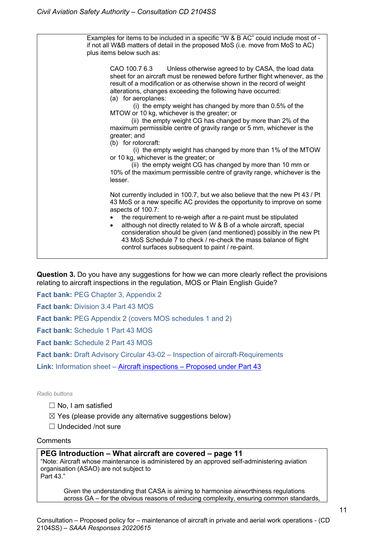Examples for items to be included in a specific "W & B AC" could include most of if not all W&B matters of detail in the proposed MoS (i.e. move from MoS to AC) plus items below such as: CAO 100.7 6.3 Unless otherwise agreed to by CASA, the load data sheet for an aircraft must be renewed before further flight whenever, as the result of a modification or as otherwise shown in the record of weight alterations, changes exceeding the following have occurred: (a) for aeroplanes: (i) the empty weight has changed by more than 0.5% of the MTOW or 10 kg, whichever is the greater; or (ii) the empty weight CG has changed by more than 2% of the maximum permissible centre of gravity range or 5 mm, whichever is the greater; and (b) for rotorcraft: (i) the empty weight has changed by more than 1% of the MTOW or 10 kg, whichever is the greater; or (ii) the empty weight CG has changed by more than 10 mm or 10% of the maximum permissible centre of gravity range, whichever is the lesser. Not currently included in 100.7, but we also believe that the new Pt 43 / Pt 43 MoS or a new specific AC provides the opportunity to improve on some aspects of 100.7: the requirement to re-weigh after a re-paint must be stipulated • although not directly related to W & B of a whole aircraft, special consideration should be given (and mentioned) possibly in the new Pt 43 MoS Schedule 7 to check / re-check the mass balance of flight control surfaces subsequent to paint / re-paint.

**Question 3.** Do you have any suggestions for how we can more clearly reflect the provisions relating to aircraft inspections in the regulation, MOS or Plain English Guide?

**Fact bank:** PEG Chapter 3, Appendix 2

**Fact bank:** Division 3.4 Part 43 MOS

**Fact bank: PEG Appendix 2 (covers MOS schedules 1 and 2)** 

**Fact bank:** Schedule 1 Part 43 MOS

**Fact bank:** Schedule 2 Part 43 MOS

**Fact bank:** Draft Advisory Circular 43-02 – Inspection of aircraft-Requirements

**Link:** Information sheet – Aircraft inspections – Proposed under Part 43

#### *Radio buttons*

- ☐ No, I am satisfied
- $\boxtimes$  Yes (please provide any alternative suggestions below)
- ☐ Undecided /not sure

#### **Comments**

#### **PEG Introduction – What aircraft are covered – page 11**

"Note: Aircraft whose maintenance is administered by an approved self-administering aviation organisation (ASAO) are not subject to

Part 43."

Given the understanding that CASA is aiming to harmonise airworthiness regulations across GA – for the obvious reasons of reducing complexity, ensuring common standards,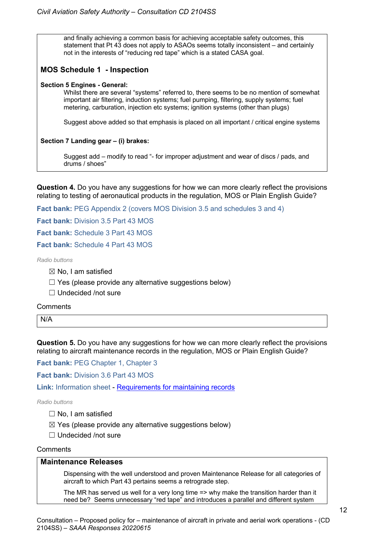and finally achieving a common basis for achieving acceptable safety outcomes, this statement that Pt 43 does not apply to ASAOs seems totally inconsistent – and certainly not in the interests of "reducing red tape" which is a stated CASA goal.

## **MOS Schedule 1 - Inspection**

#### **Section 5 Engines - General:**

Whilst there are several "systems" referred to, there seems to be no mention of somewhat important air filtering, induction systems; fuel pumping, filtering, supply systems; fuel metering, carburation, injection etc systems; ignition systems (other than plugs)

Suggest above added so that emphasis is placed on all important / critical engine systems

#### **Section 7 Landing gear – (i) brakes:**

Suggest add – modify to read "- for improper adjustment and wear of discs / pads, and drums / shoes"

**Question 4.** Do you have any suggestions for how we can more clearly reflect the provisions relating to testing of aeronautical products in the regulation, MOS or Plain English Guide?

**Fact bank: PEG Appendix 2 (covers MOS Division 3.5 and schedules 3 and 4)** 

**Fact bank:** Division 3.5 Part 43 MOS

**Fact bank:** Schedule 3 Part 43 MOS

**Fact bank:** Schedule 4 Part 43 MOS

*Radio buttons*

- $\boxtimes$  No. I am satisfied
- $\Box$  Yes (please provide any alternative suggestions below)
- ☐ Undecided /not sure

#### **Comments**

N/A

**Question 5.** Do you have any suggestions for how we can more clearly reflect the provisions relating to aircraft maintenance records in the regulation, MOS or Plain English Guide?

**Fact bank: PEG Chapter 1, Chapter 3** 

**Fact bank:** Division 3.6 Part 43 MOS

**Link:** Information sheet - Requirements for maintaining records

*Radio buttons*

- ☐ No, I am satisfied
- $\boxtimes$  Yes (please provide any alternative suggestions below)
- ☐ Undecided /not sure

#### **Comments**

## **Maintenance Releases**

Dispensing with the well understood and proven Maintenance Release for all categories of aircraft to which Part 43 pertains seems a retrograde step.

The MR has served us well for a very long time => why make the transition harder than it need be? Seems unnecessary "red tape" and introduces a parallel and different system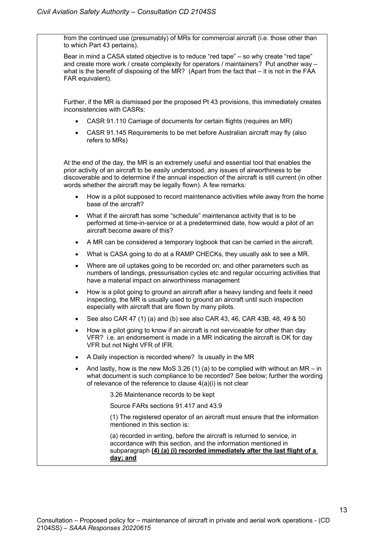from the continued use (presumably) of MRs for commercial aircraft (i.e. those other than to which Part 43 pertains).

Bear in mind a CASA stated objective is to reduce "red tape" – so why create "red tape" and create more work / create complexity for operators / maintainers? Put another way – what is the benefit of disposing of the MR? (Apart from the fact that  $-$  it is not in the FAA FAR equivalent).

Further, if the MR is dismissed per the proposed Pt 43 provisions, this immediately creates inconsistencies with CASRs:

- CASR 91.110 Carriage of documents for certain flights (requires an MR)
- CASR 91.145 Requirements to be met before Australian aircraft may fly (also refers to MRs)

At the end of the day, the MR is an extremely useful and essential tool that enables the prior activity of an aircraft to be easily understood, any issues of airworthiness to be discoverable and to determine if the annual inspection of the aircraft is still current (in other words whether the aircraft may be legally flown). A few remarks:

- How is a pilot supposed to record maintenance activities while away from the home base of the aircraft?
- What if the aircraft has some "schedule" maintenance activity that is to be performed at time-in-service or at a predetermined date, how would a pilot of an aircraft become aware of this?
- A MR can be considered a temporary logbook that can be carried in the aircraft.
- What is CASA going to do at a RAMP CHECKs, they usually ask to see a MR.
- Where are oil uptakes going to be recorded on; and other parameters such as numbers of landings, pressurisation cycles etc and regular occurring activities that have a material impact on airworthiness management
- How is a pilot going to ground an aircraft after a heavy landing and feels it need inspecting, the MR is usually used to ground an aircraft until such inspection especially with aircraft that are flown by many pilots.
- See also CAR 47 (1) (a) and (b) see also CAR 43, 46, CAR 43B, 48, 49 & 50
- How is a pilot going to know if an aircraft is not serviceable for other than day VFR? i.e. an endorsement is made in a MR indicating the aircraft is OK for day VFR but not Night VFR of IFR.
- A Daily inspection is recorded where? Is usually in the MR
- And lastly, how is the new MoS 3.26 (1) (a) to be complied with without an MR in what document is such compliance to be recorded? See below; further the wording of relevance of the reference to clause 4(a)(i) is not clear

3.26 Maintenance records to be kept

Source FARs sections 91.417 and 43.9

(1) The registered operator of an aircraft must ensure that the information mentioned in this section is:

(a) recorded in writing, before the aircraft is returned to service, in accordance with this section, and the information mentioned in subparagraph **(4) (a) (i) recorded immediately after the last flight of a day; and**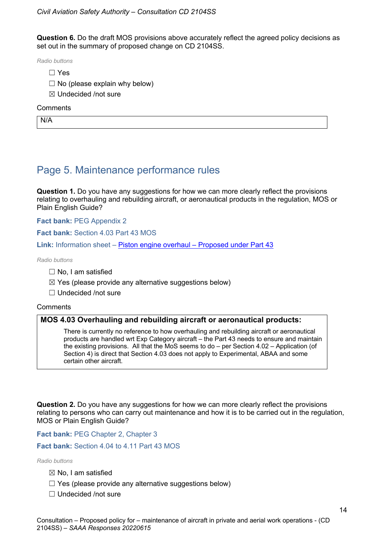**Question 6.** Do the draft MOS provisions above accurately reflect the agreed policy decisions as set out in the summary of proposed change on CD 2104SS.

*Radio buttons*

- ☐ Yes
- $\Box$  No (please explain why below)
- ☒ Undecided /not sure

#### **Comments**

N/A

## Page 5. Maintenance performance rules

**Question 1.** Do you have any suggestions for how we can more clearly reflect the provisions relating to overhauling and rebuilding aircraft, or aeronautical products in the regulation, MOS or Plain English Guide?

#### **Fact bank:** PEG Appendix 2

**Fact bank:** Section 4.03 Part 43 MOS

**Link:** Information sheet – Piston engine overhaul – Proposed under Part 43

*Radio buttons*

- ☐ No, I am satisfied
- $\boxtimes$  Yes (please provide any alternative suggestions below)
- ☐ Undecided /not sure

#### **Comments**

#### **MOS 4.03 Overhauling and rebuilding aircraft or aeronautical products:**

There is currently no reference to how overhauling and rebuilding aircraft or aeronautical products are handled wrt Exp Category aircraft – the Part 43 needs to ensure and maintain the existing provisions. All that the MoS seems to do – per Section 4.02 – Application (of Section 4) is direct that Section 4.03 does not apply to Experimental, ABAA and some certain other aircraft.

**Question 2.** Do you have any suggestions for how we can more clearly reflect the provisions relating to persons who can carry out maintenance and how it is to be carried out in the regulation, MOS or Plain English Guide?

**Fact bank:** PEG Chapter 2, Chapter 3

**Fact bank:** Section 4.04 to 4.11 Part 43 MOS

*Radio buttons*

- $\boxtimes$  No, I am satisfied
- $\Box$  Yes (please provide any alternative suggestions below)
- ☐ Undecided /not sure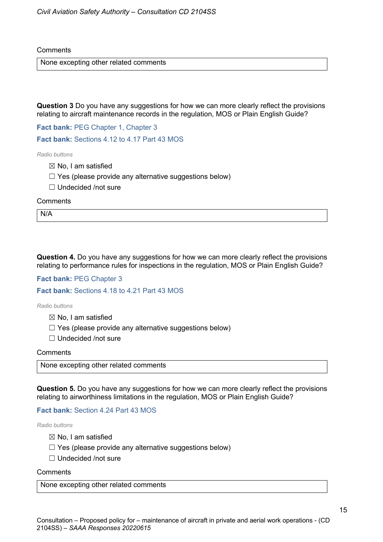**Comments** 

None excepting other related comments

**Question 3** Do you have any suggestions for how we can more clearly reflect the provisions relating to aircraft maintenance records in the regulation, MOS or Plain English Guide?

Fact bank: PEG Chapter 1, Chapter 3

**Fact bank:** Sections 4.12 to 4.17 Part 43 MOS

*Radio buttons*

- $\boxtimes$  No. I am satisfied
- $\Box$  Yes (please provide any alternative suggestions below)
- ☐ Undecided /not sure

**Comments** 

N/A

**Question 4.** Do you have any suggestions for how we can more clearly reflect the provisions relating to performance rules for inspections in the regulation, MOS or Plain English Guide?

**Fact bank:** PEG Chapter 3

**Fact bank:** Sections 4.18 to 4.21 Part 43 MOS

*Radio buttons*

- $\boxtimes$  No, I am satisfied
- $\Box$  Yes (please provide any alternative suggestions below)
- ☐ Undecided /not sure

**Comments** 

None excepting other related comments

**Question 5.** Do you have any suggestions for how we can more clearly reflect the provisions relating to airworthiness limitations in the regulation, MOS or Plain English Guide?

**Fact bank:** Section 4.24 Part 43 MOS

*Radio buttons*

- $\boxtimes$  No, I am satisfied
- $\Box$  Yes (please provide any alternative suggestions below)
- ☐ Undecided /not sure

**Comments** 

None excepting other related comments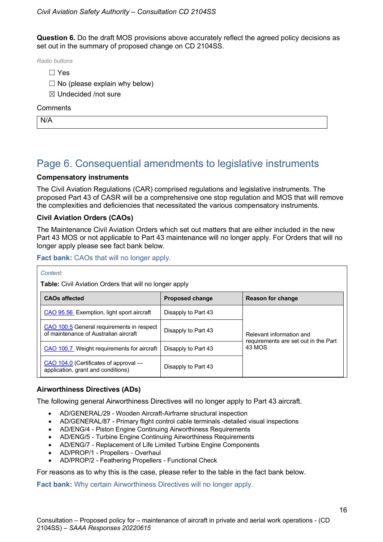**Question 6.** Do the draft MOS provisions above accurately reflect the agreed policy decisions as set out in the summary of proposed change on CD 2104SS.

*Radio buttons*

- ☐ Yes
- $\Box$  No (please explain why below)
- ☒ Undecided /not sure

#### **Comments**

N/A

## Page 6. Consequential amendments to legislative instruments

### **Compensatory instruments**

The Civil Aviation Regulations (CAR) comprised regulations and legislative instruments. The proposed Part 43 of CASR will be a comprehensive one stop regulation and MOS that will remove the complexities and deficiencies that necessitated the various compensatory instruments.

### **Civil Aviation Orders (CAOs)**

The Maintenance Civil Aviation Orders which set out matters that are either included in the new Part 43 MOS or not applicable to Part 43 maintenance will no longer apply. For Orders that will no longer apply please see fact bank below.

**Fact bank:** CAOs that will no longer apply.

| ınıeı |  |
|-------|--|
|       |  |

**Table:** Civil Aviation Orders that will no longer apply

| <b>CAOs affected</b>                                                               | <b>Proposed change</b> | <b>Reason for change</b>                       |  |
|------------------------------------------------------------------------------------|------------------------|------------------------------------------------|--|
| CAO 95.56 Exemption, light sport aircraft                                          | Disapply to Part 43    |                                                |  |
| CAO 100.5 General requirements in respect<br>of maintenance of Australian aircraft | Disapply to Part 43    | Relevant information and                       |  |
| CAO 100.7 Weight requirements for aircraft                                         | Disapply to Part 43    | requirements are set out in the Part<br>43 MOS |  |
| CAO 104.0 (Certificates of approval —<br>application, grant and conditions)        | Disapply to Part 43    |                                                |  |

#### **Airworthiness Directives (ADs)**

The following general Airworthiness Directives will no longer apply to Part 43 aircraft.

- AD/GENERAL/29 Wooden Aircraft-Airframe structural inspection
- AD/GENERAL/87 Primary flight control cable terminals -detailed visual inspections
- AD/ENG/4 Piston Engine Continuing Airworthiness Requirements
- AD/ENG/5 Turbine Engine Continuing Airworthiness Requirements
- AD/ENG/7 Replacement of Life Limited Turbine Engine Components
- AD/PROP/1 Propellers Overhaul
- AD/PROP/2 Feathering Propellers Functional Check

For reasons as to why this is the case, please refer to the table in the fact bank below.

**Fact bank:** Why certain Airworthiness Directives will no longer apply.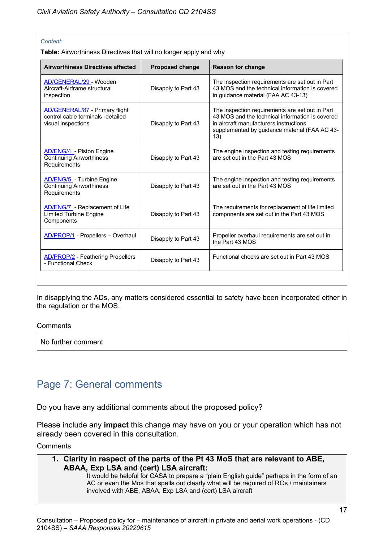#### *Content:*

**Table:** Airworthiness Directives that will no longer apply and why

| <b>Proposed change</b> | <b>Reason for change</b>                                                                                                                                                                              |
|------------------------|-------------------------------------------------------------------------------------------------------------------------------------------------------------------------------------------------------|
| Disapply to Part 43    | The inspection requirements are set out in Part<br>43 MOS and the technical information is covered<br>in guidance material (FAA AC 43-13)                                                             |
| Disapply to Part 43    | The inspection requirements are set out in Part<br>43 MOS and the technical information is covered<br>in aircraft manufacturers instructions<br>supplemented by guidance material (FAA AC 43-<br>(13) |
| Disapply to Part 43    | The engine inspection and testing requirements<br>are set out in the Part 43 MOS                                                                                                                      |
| Disapply to Part 43    | The engine inspection and testing requirements<br>are set out in the Part 43 MOS                                                                                                                      |
| Disapply to Part 43    | The requirements for replacement of life limited<br>components are set out in the Part 43 MOS                                                                                                         |
| Disapply to Part 43    | Propeller overhaul requirements are set out in<br>the Part 43 MOS                                                                                                                                     |
| Disapply to Part 43    | Functional checks are set out in Part 43 MOS                                                                                                                                                          |
|                        |                                                                                                                                                                                                       |

In disapplying the ADs, any matters considered essential to safety have been incorporated either in the regulation or the MOS.

#### **Comments**

No further comment

## Page 7: General comments

Do you have any additional comments about the proposed policy?

Please include any **impact** this change may have on you or your operation which has not already been covered in this consultation.

**Comments** 

## **1. Clarity in respect of the parts of the Pt 43 MoS that are relevant to ABE, ABAA, Exp LSA and (cert) LSA aircraft:**

It would be helpful for CASA to prepare a "plain English guide" perhaps in the form of an AC or even the Mos that spells out clearly what will be required of ROs / maintainers involved with ABE, ABAA, Exp LSA and (cert) LSA aircraft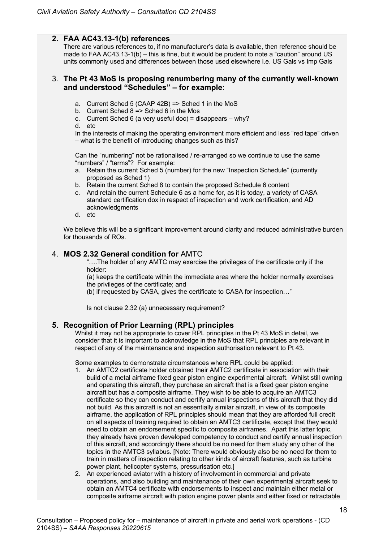## **2. FAA AC43.13-1(b) references**

There are various references to, if no manufacturer's data is available, then reference should be made to FAA AC43.13-1(b) – this is fine, but it would be prudent to note a "caution" around US units commonly used and differences between those used elsewhere i.e. US Gals vs Imp Gals

## 3. **The Pt 43 MoS is proposing renumbering many of the currently well-known and understood "Schedules" – for example**:

- a. Current Sched 5 (CAAP 42B) => Sched 1 in the MoS
- b. Current Sched  $8 \approx$  Sched 6 in the Mos
- c. Current Sched 6 (a very useful doc) = disappears why? d. etc

In the interests of making the operating environment more efficient and less "red tape" driven – what is the benefit of introducing changes such as this?

Can the "numbering" not be rationalised / re-arranged so we continue to use the same "numbers" / "terms"? For example:

- a. Retain the current Sched 5 (number) for the new "Inspection Schedule" (currently proposed as Sched 1)
- b. Retain the current Sched 8 to contain the proposed Schedule 6 content
- c. And retain the current Schedule 6 as a home for, as it is today, a variety of CASA standard certification dox in respect of inspection and work certification, and AD acknowledgments
- d. etc

We believe this will be a significant improvement around clarity and reduced administrative burden for thousands of ROs.

## 4. **MOS 2.32 General condition for** AMTC

"….The holder of any AMTC may exercise the privileges of the certificate only if the holder:

(a) keeps the certificate within the immediate area where the holder normally exercises the privileges of the certificate; and

(b) if requested by CASA, gives the certificate to CASA for inspection…"

Is not clause 2.32 (a) unnecessary requirement?

## **5. Recognition of Prior Learning (RPL) principles**

Whilst it may not be appropriate to cover RPL principles in the Pt 43 MoS in detail, we consider that it is important to acknowledge in the MoS that RPL principles are relevant in respect of any of the maintenance and inspection authorisation relevant to Pt 43.

Some examples to demonstrate circumstances where RPL could be applied:

- 1. An AMTC2 certificate holder obtained their AMTC2 certificate in association with their build of a metal airframe fixed gear piston engine experimental aircraft. Whilst still owning and operating this aircraft, they purchase an aircraft that is a fixed gear piston engine aircraft but has a composite airframe. They wish to be able to acquire an AMTC3 certificate so they can conduct and certify annual inspections of this aircraft that they did not build. As this aircraft is not an essentially similar aircraft, in view of its composite airframe, the application of RPL principles should mean that they are afforded full credit on all aspects of training required to obtain an AMTC3 certificate, except that they would need to obtain an endorsement specific to composite airframes. Apart this latter topic, they already have proven developed competency to conduct and certify annual inspection of this aircraft, and accordingly there should be no need for them study any other of the topics in the AMTC3 syllabus. [Note: There would obviously also be no need for them to train in matters of inspection relating to other kinds of aircraft features, such as turbine power plant, helicopter systems, pressurisation etc.]
- 2. An experienced aviator with a history of involvement in commercial and private operations, and also building and maintenance of their own experimental aircraft seek to obtain an AMTC4 certificate with endorsements to inspect and maintain either metal or composite airframe aircraft with piston engine power plants and either fixed or retractable